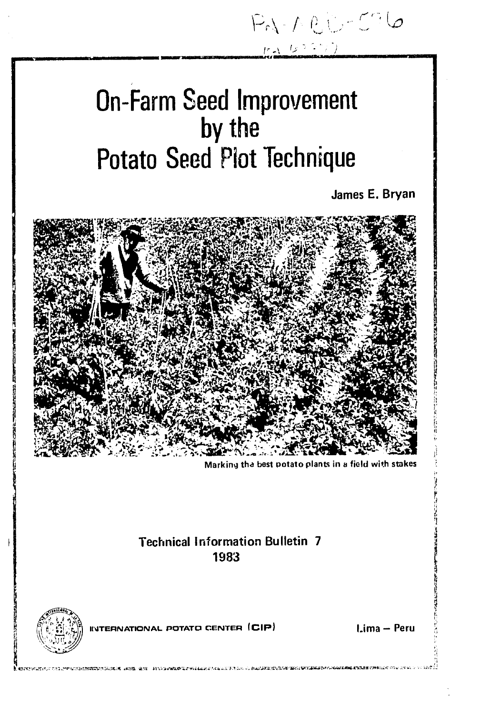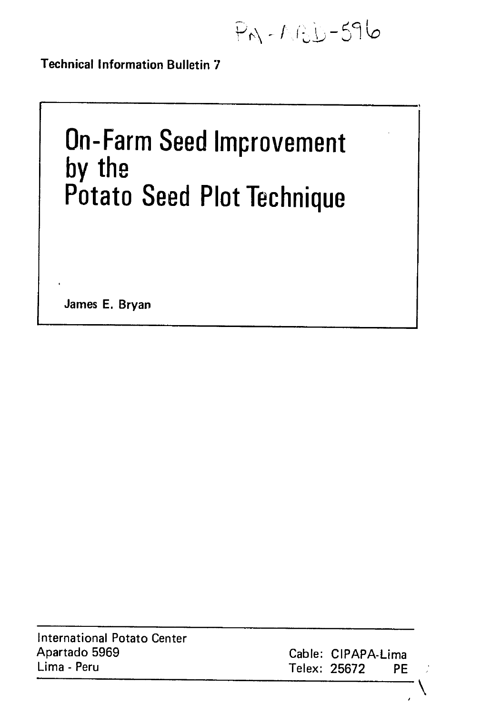$P_{M} - M_{c}D - 596$ 

Technical Information Bulletin **7** 

# **On-Farm Seed Improvement by the Potato Seed Plot Technique**

James **E.** Bryan

| International Potato Center |
|-----------------------------|
| Apartado 5969               |
| Lima - Peru                 |

Cable: CIPAPA-Lima Lima **-** Peru Telex: **25672** PE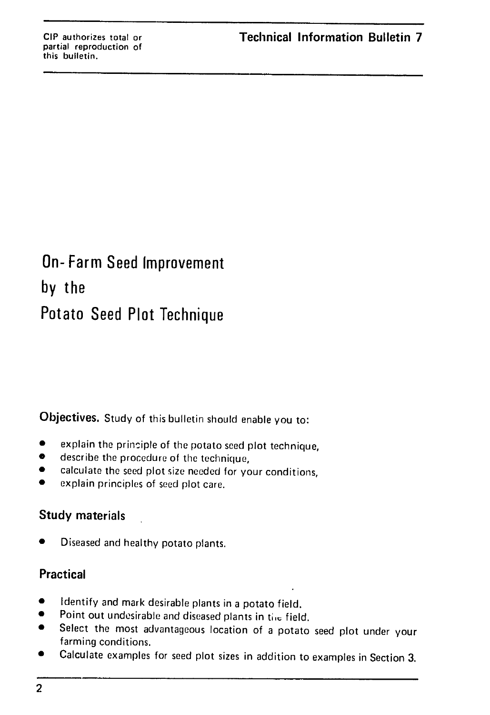## On- Farm Seed Improvement **by** the Potato Seed Plot Technique

**Objectives.** Study of this bulletin should enable you to:

- $\bullet$  explain the principle of the potato seed plot technique,
- **"** describe the procedure of the technique,
- \* calculate the seed plot size needed for your conditions,
- **"** explain principles of seed plot care.

### Study materials

Diseased and healthy potato plants.

### **Practical**

- Identify and mark desirable plants in a potato field.
- Point out undesirable and diseased plants in the field.
- Select the most advantageous location of a potato seed plot under your farming conditions.
- \* Calculate examples for seed plot sizes in addition to examples in Section **3.**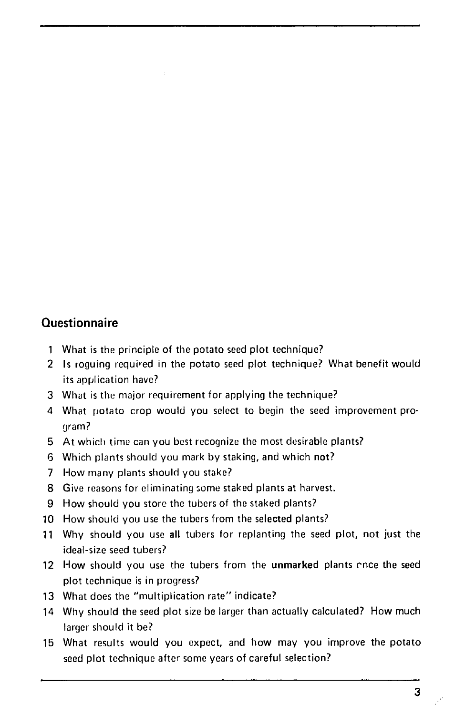### **Questionnaire**

- 1 What is the principle of the potato seed plot technique?
- 2 Is roguing required in the potato seed plot technique? What benefit would its application have?
- 3 What is the major requirement for applying the technique?
- 4 What potato crop would you select to begin the seed improvement program?
- 5 At which time can you best recognize the most desirable plants?
- 6 Which plants should you mark by staking, and which not?
- 7 How many plants should you stake?
- 8 Give reasons for eliminating some staked plants at harvest.
- 9 How should you store the tubers of the staked plants?
- 10 How should you use the tubers from the selected plants?
- <sup>11</sup> Why should you use all tubers for replanting the seed plot, not just the ideal-size seed tubers?
- 12 How should you use the tubers from the **unmarked** plants once the seed plot technique is in progress?
- 13 What does the "multiplication rate" indicate?
- 14 Why should the seed plot size be larger than actually calculated? How much larger should it be?
- 15 What results would you expect, and how may you improve the potato seed plot technique after some years of careful selection?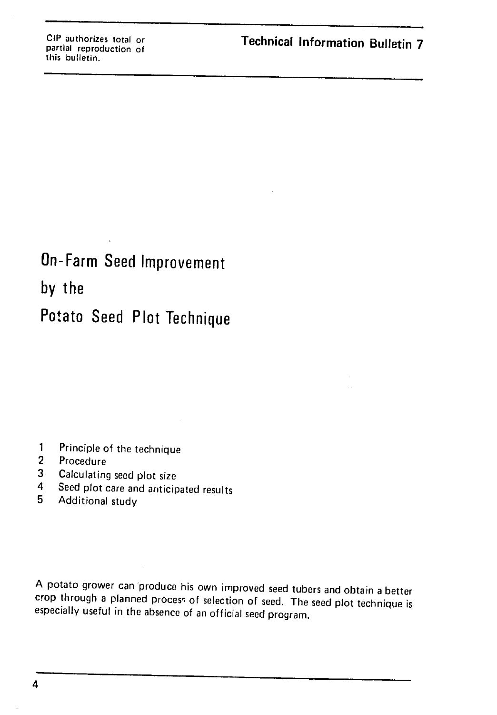## On-Farm Seed Improvement

**by** the

## Potato Seed Plot Technique

- 1 Principle of the technique
- 2 Procedure
- **3** Calculating seed plot size
- 4 Seed plot care and anticipated results
- **5** Additional study

A potato grower can produce his own improved seed tubers and obtain a better crop through a planned process of selection of seed. The seed plot technique is especially useful in the absence of an official seed program.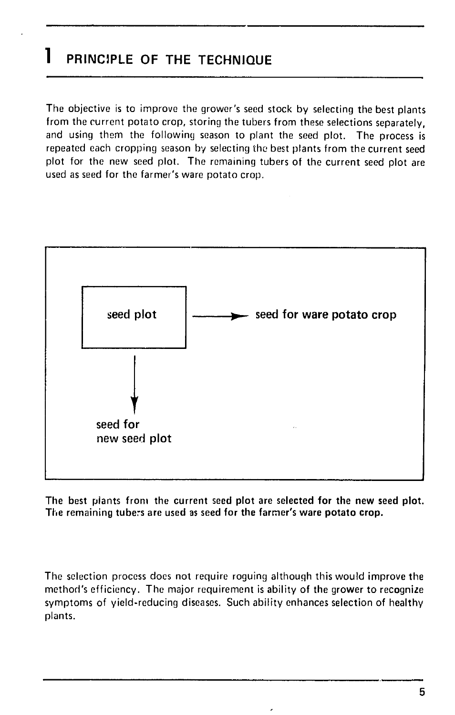### **1 PRINCIPLE OF THE TECHNIQUE**

The objective is to improve the grower's seed stock by selecting the best plants from the current potato crop, storing the tubers from these selections separately, and using them the following season to plant the seed plot. The process is repeated each cropping season **by** selecting the best plants from the current seed plot for the new seed plot. The remaining tubers of the current seed plot are used as seed for the farmer's ware potato crop.



The best plants from the current seed plot are selected **for** the new seed plot. The remaining tubers are used as seed for the farmer's ware potato crop.

The selection process does not require roguing although this would improve the method's efficiency. The major requirement is ability of the grower to recognize symptoms of yield-reducing diseases. Such ability enhances selection of healthy plants.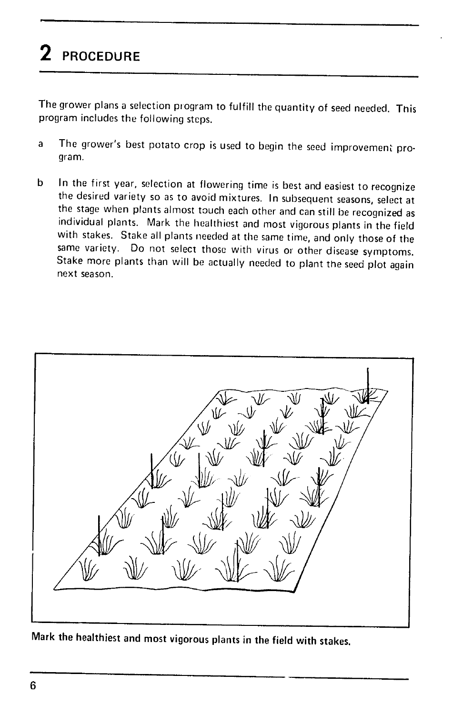# **2 PROCEDURE**

The grower plans a selection program to fulfill the quantity of seed needed. This program includes the following steps.

- a The grower's best potato crop is used to begin the seed improvement program.
- **<sup>b</sup>** In the first year, selection at flowering time is best and easiest to recognize the desired variety so as to avoid mixtures. In subsequent seasons, select at the stage when plants almost touch each other and can still be recognized as individual plants. Mark the healthiest and most vigorous plants in the field with stakes. Stake all plants needed at the same time, and only those of the same variety. Do not select those with virus or other disease symptoms.<br>Stake more plants than will be actually needed to plant the seed plot again next season.



Mark the healthiest and most vigorous plants in the field with stakes.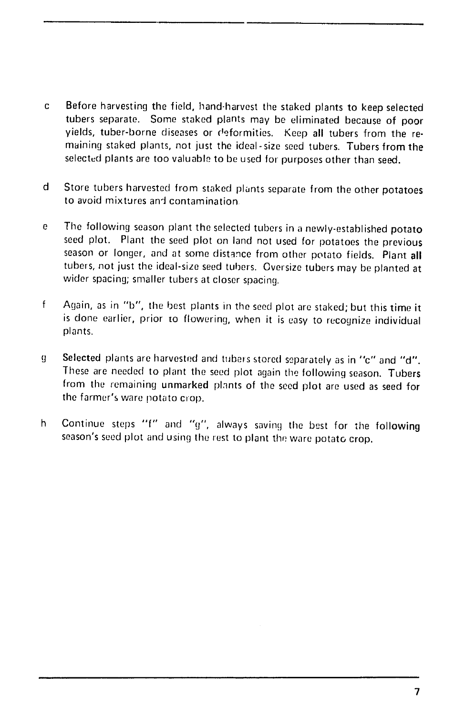- **c** Before harvesting the field, hand-harvest the staked plants to keep selected tubers separate. Some staked plants may be eliminated because of poor yields, tuber-borne diseases or deformities. Keep all tubers from the remaining staked plants, not just the ideal-size seed tubers. Tubers from the selected plants are too valuable to be used for purposes other than seed.
- **d**  Store tubers harvested from staked plants separate from the other potatoes to avoid mixtures and contamination
- e The following season plant the selected tubers in a newly-established potato seed plot. Plant the seed plot on land not used for potatoes the previous season or longer, and at some distance from other potato fields. Plant all tubers, not just the ideal-size seed tubers. Oversize tubers may be planted at wider spacing; smaller tubers at closer spacing.
- $\mathsf{f}$ Again, as in "b", the best plants in the seed plot are staked; but this time it is done earlier, prior to flowering, when it is easy to recognize individual plants.
- g Selected plants are harvested and tubers stored separately as in "c" and "d". These are needed to plant the seed plot again the following season. Tubers from the remaining unmarked plants of the seed plot are used as seed for the farmer's ware potato crop.
- h Continue steps **-f"** and "g", always saving the best for tie following season's seed plot and using the rest to plant the ware potato crop.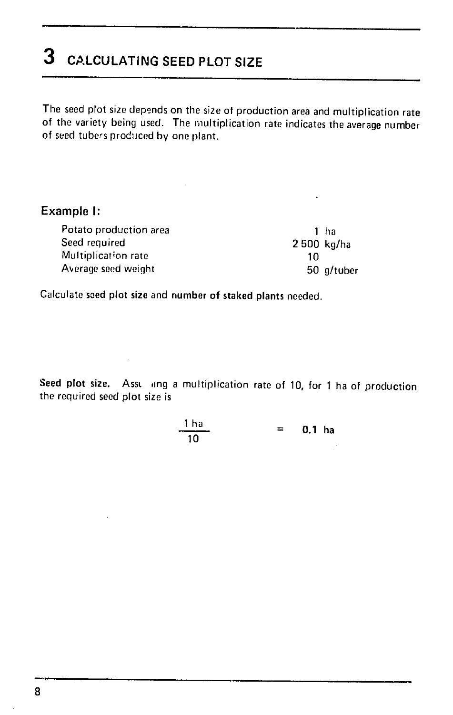## **3 CALCULATING SEED PLOT SIZE**

The seed plot size depends on the size of production area and multiplication rate of the variety being used. The multiplication rate indicates the average number of seed tubers produced by one plant.

### Example **I:**

| Potato production area | 1 ha       |  |
|------------------------|------------|--|
| Seed required          | 2500 kg/ha |  |
| Multiplication rate    | 10         |  |
| Average seed weight    | 50 g/tuber |  |

Calculate saed plot size and number of staked plants needed.

Seed plot size. Assuming a multiplication rate of 10, for 1 ha of production the required seed plot size is

$$
\frac{1 \text{ ha}}{10} \qquad = \qquad 0.1 \text{ ha}
$$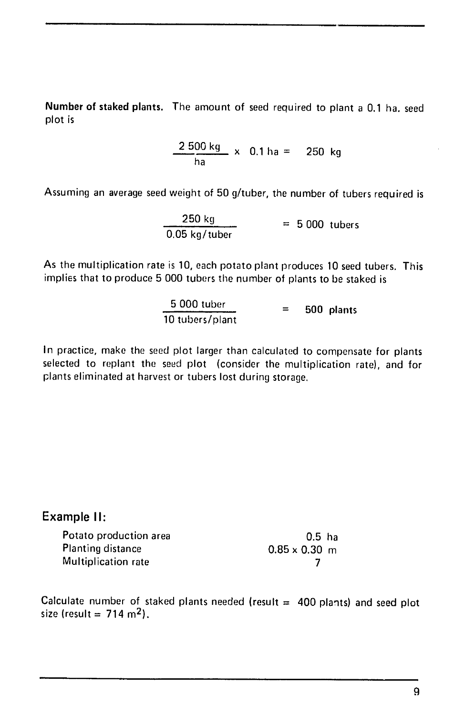Number of staked plants. The amount of seed required to plant a 0.1 ha. seed plot is

> $2500 \text{ kg}$   $\times$  0.1 ha = 250 kg ha

Assuming an average seed weight of 50 g/tuber, the number of tubers required is

$$
\frac{250 \text{ kg}}{0.05 \text{ kg/tuber}} = 5000 \text{ tubes}
$$

As the multiplication rate is 10, each potato plant produces 10 seed tubers. This implies that to produce 5 000 tubers the number of plants to be staked is

$$
\frac{5000 \text{ tuber}}{10 \text{ tubers/plant}} = 500 \text{ plants}
$$

In practice, make the seed plot larger than calculated to compensate for plants selected to replant the seed plot (consider the multiplication rate), and for plants eliminated at harvest or tubers lost during storage.

### Example **II:**

| Potato production area | $0.5$ ha             |
|------------------------|----------------------|
| Planting distance      | $0.85 \times 0.30$ m |
| Multiplication rate    |                      |

Calculate number of staked plants needed (result  $=$  400 plants) and seed plot size (result =  $714 \text{ m}^2$ ).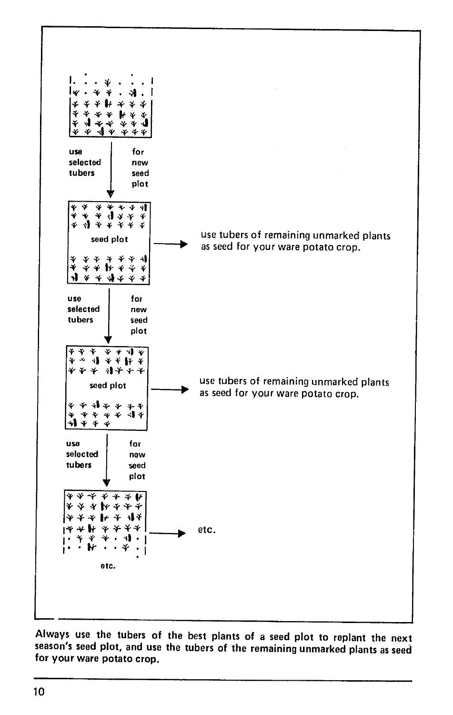

Always use the tubers of the best plants of a seed plot to replant the next season's seed plot, and use the tubers of the remaining unmarked plants as seed for your ware potato crop.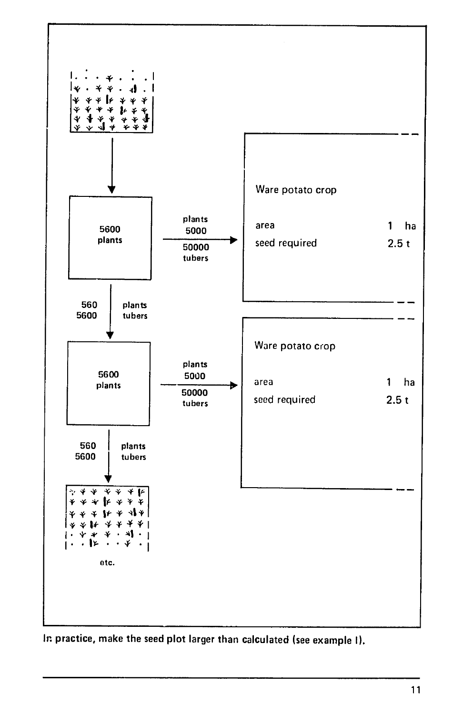

Ir practice, make the seed plot larger than calculated (see example **I).**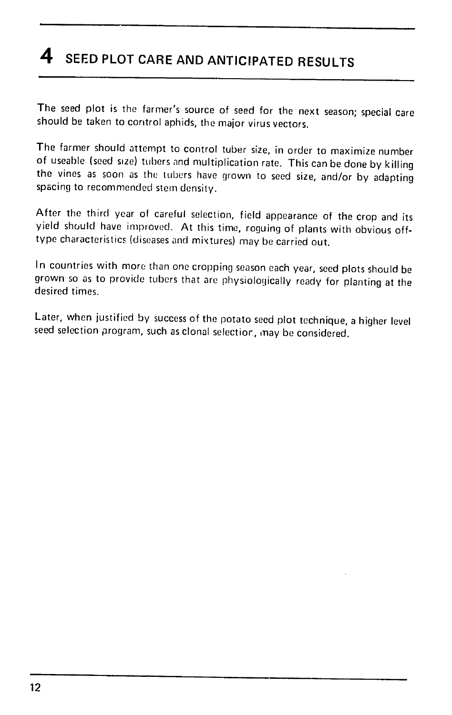## **4 SEED PLOT CARE AND ANTICIPATED RESULTS**

The seed plot is the farmer's source of seed for the next season; special care should be taken to control aphids, the major virus vectors.

The farmer should attempt to control tuber size, in order to maximize number of useable (seed size) tubers and multiplication rate. This can be done by killing the vines as soon as the tubers have grown to seed size, and/or by adapting spacing to recommended stem density.

After the third year of careful selection, field appearance of the crop and its yield should have improved. At this time, roguing of plants with obvious offtype characteristics (diseases and mixtures) may be carried out.

In countries with more than one cropping season each year, seed plots should be grown so as to provide tubers that are physiologically ready for planting at the desired times.

Later, when justified by success of the potato seed plot technique, a higher level seed selection program, such as clonal selectior, may be considered.